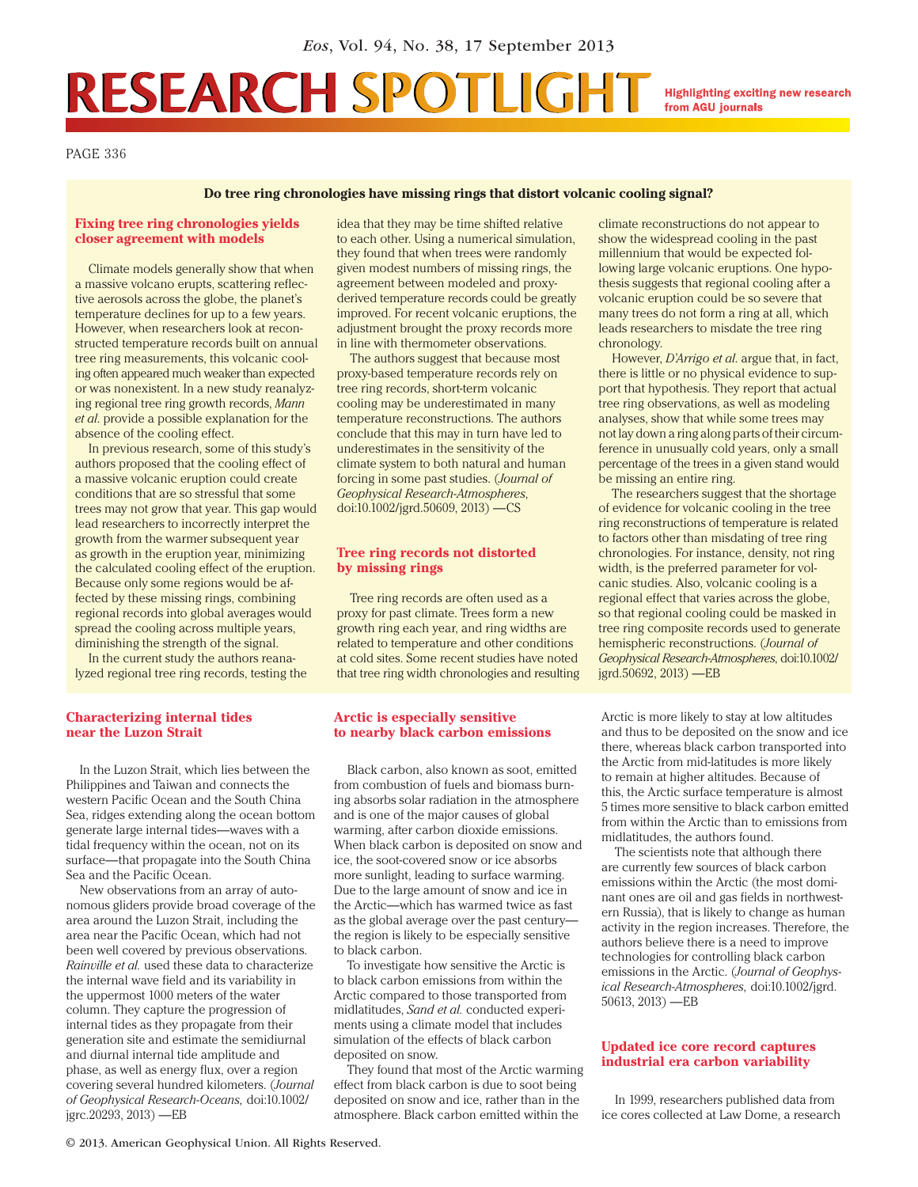# **RESEARCH SPOTLIGHT**

**Highlighting exciting new research** from AGU journals

PAGE 336

#### **Do tree ring chronologies have missing rings that distort volcanic cooling signal?**

### **Fixing tree ring chronologies yields closer agreement with models**

Climate models generally show that when a massive volcano erupts, scattering reflective aerosols across the globe, the planet's temperature declines for up to a few years. However, when researchers look at reconstructed temperature records built on annual tree ring measurements, this volcanic cooling often appeared much weaker than expected or was nonexistent. In a new study reanalyzing regional tree ring growth records, *Mann et al*. provide a possible explanation for the absence of the cooling effect.

In previous research, some of this study's authors proposed that the cooling effect of a massive volcanic eruption could create conditions that are so stressful that some trees may not grow that year. This gap would lead researchers to incorrectly interpret the growth from the warmer subsequent year as growth in the eruption year, minimizing the calculated cooling effect of the eruption. Because only some regions would be affected by these missing rings, combining regional records into global averages would spread the cooling across multiple years, diminishing the strength of the signal.

In the current study the authors reanalyzed regional tree ring records, testing the

#### **Characterizing internal tides near the Luzon Strait**

In the Luzon Strait, which lies between the Philippines and Taiwan and connects the western Pacific Ocean and the South China Sea, ridges extending along the ocean bottom generate large internal tides—waves with a tidal frequency within the ocean, not on its surface—that propagate into the South China Sea and the Pacific Ocean.

New observations from an array of autonomous gliders provide broad coverage of the area around the Luzon Strait, including the area near the Pacific Ocean, which had not been well covered by previous observations. *Rainville et al.* used these data to characterize the internal wave field and its variability in the uppermost 1000 meters of the water column. They capture the progression of internal tides as they propagate from their generation site and estimate the semidiurnal and diurnal internal tide amplitude and phase, as well as energy flux, over a region covering several hundred kilometers. (*Journal of Geophysical Research- Oceans,* doi:10.1002/ jgrc.20293, 2013) —EB

idea that they may be time shifted relative to each other. Using a numerical simulation, they found that when trees were randomly given modest numbers of missing rings, the agreement between modeled and proxy derived temperature records could be greatly improved. For recent volcanic eruptions, the adjustment brought the proxy records more in line with thermometer observations.

The authors suggest that because most proxy-based temperature records rely on tree ring records, short-term volcanic cooling may be underestimated in many temperature reconstructions. The authors conclude that this may in turn have led to underestimates in the sensitivity of the climate system to both natural and human forcing in some past studies. (*Journal of Geophysical Research-Atmospheres*, doi:10.1002/jgrd.50609, 2013) —CS

### **Tree ring records not distorted by missing rings**

Tree ring records are often used as a proxy for past climate. Trees form a new growth ring each year, and ring widths are related to temperature and other conditions at cold sites. Some recent studies have noted that tree ring width chronologies and resulting

### **Arctic is especially sensitive to nearby black carbon emissions**

Black carbon, also known as soot, emitted from combustion of fuels and biomass burning absorbs solar radiation in the atmosphere and is one of the major causes of global warming, after carbon dioxide emissions. When black carbon is deposited on snow and ice, the soot-covered snow or ice absorbs more sunlight, leading to surface warming. Due to the large amount of snow and ice in the Arctic—which has warmed twice as fast as the global average over the past century the region is likely to be especially sensitive to black carbon.

To investigate how sensitive the Arctic is to black carbon emissions from within the Arctic compared to those transported from midlatitudes, *Sand et al.* conducted experiments using a climate model that includes simulation of the effects of black carbon deposited on snow.

They found that most of the Arctic warming effect from black carbon is due to soot being deposited on snow and ice, rather than in the atmosphere. Black carbon emitted within the

climate reconstructions do not appear to show the widespread cooling in the past millennium that would be expected following large volcanic eruptions. One hypothesis suggests that regional cooling after a volcanic eruption could be so severe that many trees do not form a ring at all, which leads researchers to misdate the tree ring chronology.

However, *D'Arrigo et al*. argue that, in fact, there is little or no physical evidence to support that hypothesis. They report that actual tree ring observations, as well as modeling analyses, show that while some trees may not lay down a ring along parts of their circumference in unusually cold years, only a small percentage of the trees in a given stand would be missing an entire ring.

The researchers suggest that the shortage of evidence for volcanic cooling in the tree ring reconstructions of temperature is related to factors other than misdating of tree ring chronologies. For instance, density, not ring width, is the preferred parameter for volcanic studies. Also, volcanic cooling is a regional effect that varies across the globe, so that regional cooling could be masked in tree ring composite records used to generate hemispheric reconstructions. (*Journal of Geophysical Research- Atmospheres*, doi:10.1002/ jgrd.50692, 2013) —EB

Arctic is more likely to stay at low altitudes and thus to be deposited on the snow and ice there, whereas black carbon transported into the Arctic from mid-latitudes is more likely to remain at higher altitudes. Because of this, the Arctic surface temperature is almost 5 times more sensitive to black carbon emitted from within the Arctic than to emissions from midlatitudes, the authors found.

The scientists note that although there are currently few sources of black carbon emissions within the Arctic (the most dominant ones are oil and gas fields in northwestern Russia), that is likely to change as human activity in the region increases. Therefore, the authors believe there is a need to improve technologies for controlling black carbon emissions in the Arctic. (*Journal of Geophys*ical Research-Atmospheres, doi:10.1002/jgrd. 50613, 2013) —EB

#### **Updated ice core record captures industrial era carbon variability**

In 1999, researchers published data from ice cores collected at Law Dome, a research